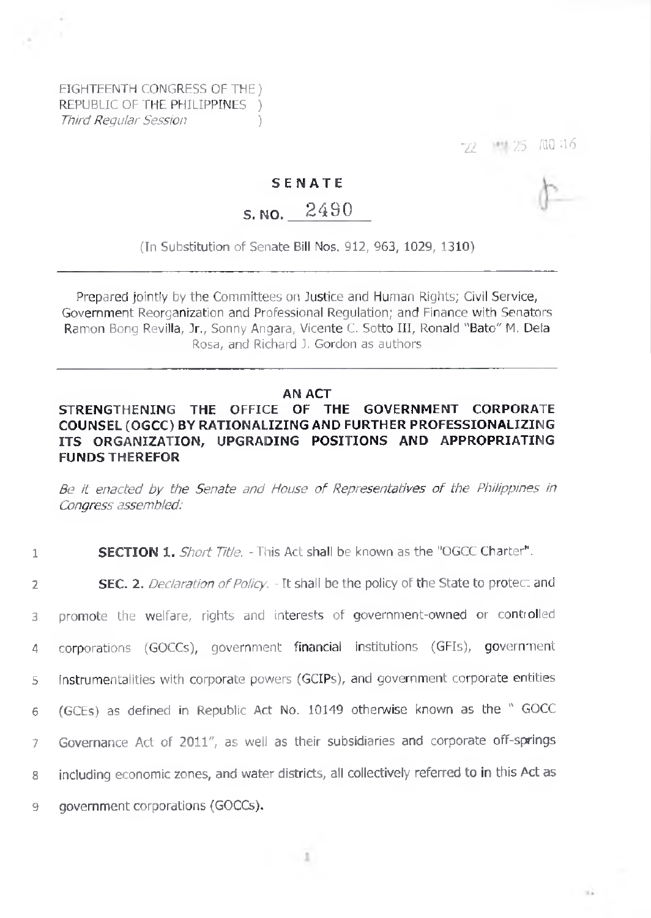EIGHTEENTH CONGRESS OF THE) REPUBLIC OF THE PHILIPPINES ) *Third Regular Session* )

72 >:5 i'llQ-16

 $\mathbb{R}^2$ 

### **SENATE**

# s. no. 2490

(In Substitution of Senate Bill Nos. 912, 963, 1029, 1310)

Prepared jointly by the Committees on Justice and Human Rights; Civil Service, Government Reorganization and Professional Regulation; and Finance with Senators Ramon Bong Revilla, Jr., Sonny Angara, Vicente C. Sotto III, Ronald "Bato" M. Dela Rosa, and Richard J. Gordon as authors

#### **AN ACT**

## **STRENGTHENING THE OFFICE OF THE GOVERNMENT CORPORATE COUNSEL (OGCC) BY RATIONALIZING AND FURTHER PROFESSIONALIZING ITS ORGANIZATION, UPGRADING POSITIONS AND APPROPRIATING FUNDS THEREFOR**

*Be it enacted by the Senate and House of Representatives of the Philippines in Congress assembled:*

#### **1 SECTION 1.** *Short Title.* -This Act shall be known as the "OGCC Charter".

 **SEC.** 2. *Declaration ofPolicy. -* It shall be the policy of the State to protec: and promote the welfare, rights and interests of government-owned or controlled corporations (GOCCs), government financial institutions (GFIs), government instrumentalities with corporate powers (GCIPs), and government corporate entities (GCEs) as defined in Republic Act No. 10149 otherwise known as the " GOCC Governance Act of 2011", as well as their subsidiaries and corporate off-springs including economic zones, and water districts, all collectively referred to in this Act as government corporations (GOCCs).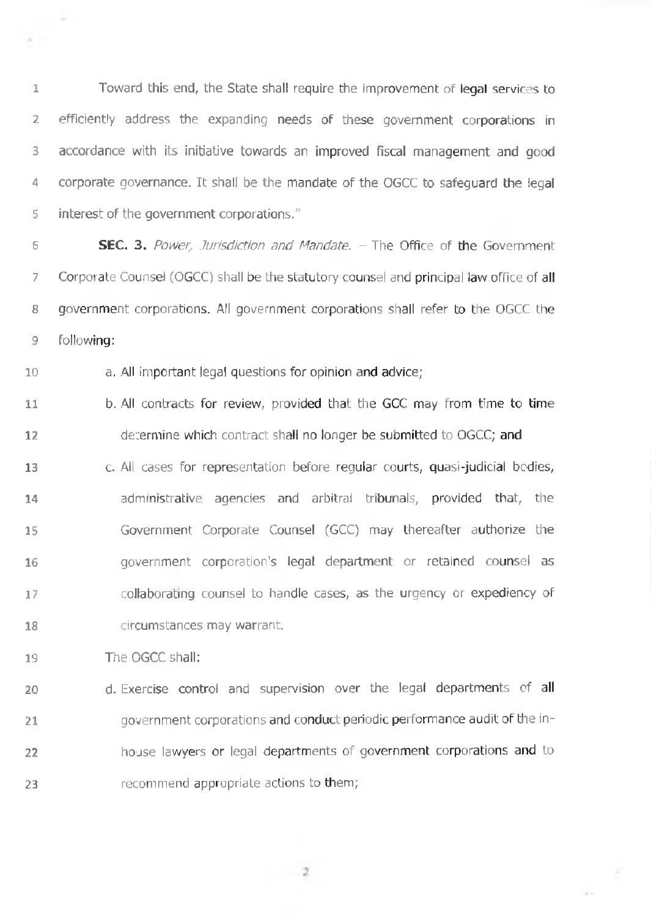Toward this end, the State shall require the improvement of legal services to efficiently address the expanding needs of these government corporations in accordance with its initiative towards an improved fiscal management and good corporate governance. It shall be the mandate of the OGCC to safeguard the legal interest of the government corporations."

 **SEC.** 3. *Power, Jurisdiction and Mandate. -* The Office of the Government Corporate Counsel (OGCC) shall be the statutory counsel and principal law office of all government corporations. All government corporations shall refer to the OGCC the following:

a. All important legal questions for opinion and advice;

 b. All contracts for review, provided that the GCC may from time to time determine which contract shall no longer be submitted to OGCC; and

 c. All cases for representation before regular courts, quasi-judicial bodies, administrative agencies and arbitral tribunals, provided that, the Government Corporate Counsel (GCC) may thereafter authorize the government corporation's legal department or retained counsel as collaborating counsel to handle cases, as the urgency or expediency of circumstances may warrant.

The OGCC shall:

 $\sim$ 

4.

 d. Exercise control and supervision over the legal departments of all government corporations and conduct periodic performance audit of the in- house lawyers or legal departments of government corporations and to 23 recommend appropriate actions to them;

 $\overline{2}$ 

Se o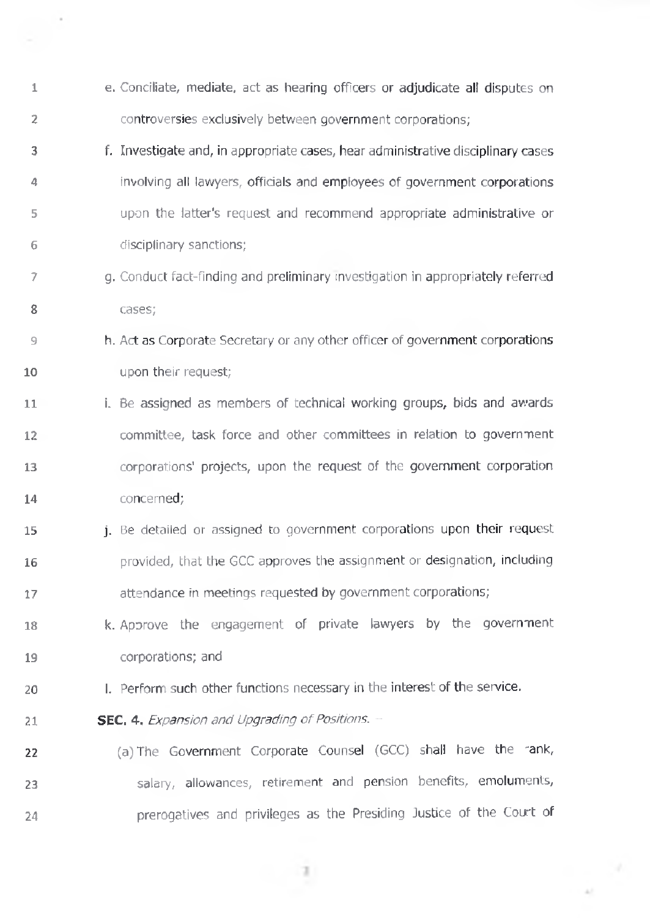**1 2 3** 4 5 6 7 **8 9 10 11 12 13 14 15 16 17 18 19 20 21 22 23** 24 e. Conciliate, mediate, act as hearing officers or adjudicate all disputes on controversies exclusively between government corporations; f. Investigate and, in appropriate cases, hear administrative disciplinary cases involving alt lawyers, officials and employees of government corporations upon the latter's request and recommend appropriate administrative or disciplinary sanctions; g. Conduct fact-finding and preliminary investigation in appropriately referred cases; h. Act as Corporate Secretary or any other officer of government corporations upon their request; i. Be assigned as members of technical working groups, bids and awards committee, task force and other committees in relation to government corporations' projects, upon the request of the government corporation concerned; j. Be detailed or assigned to government corporations upon their request provided, that the GCC approves the assignment or designation, including attendance in meetings requested by government corporations; k. Approve the engagement of private lawyers by the government corporations; and l. Perform such other functions necessary in the interest of the service. **SEC. 4.** *Expansion and Upgrading of Positions.* -(a) The Government Corporate Counsel (GCC) shall have the 'ank, salary, allowances, retirement and pension benefits, emoluments, prerogatives and privileges as the Presiding Justice of the Court of

- 71

 $\cdot$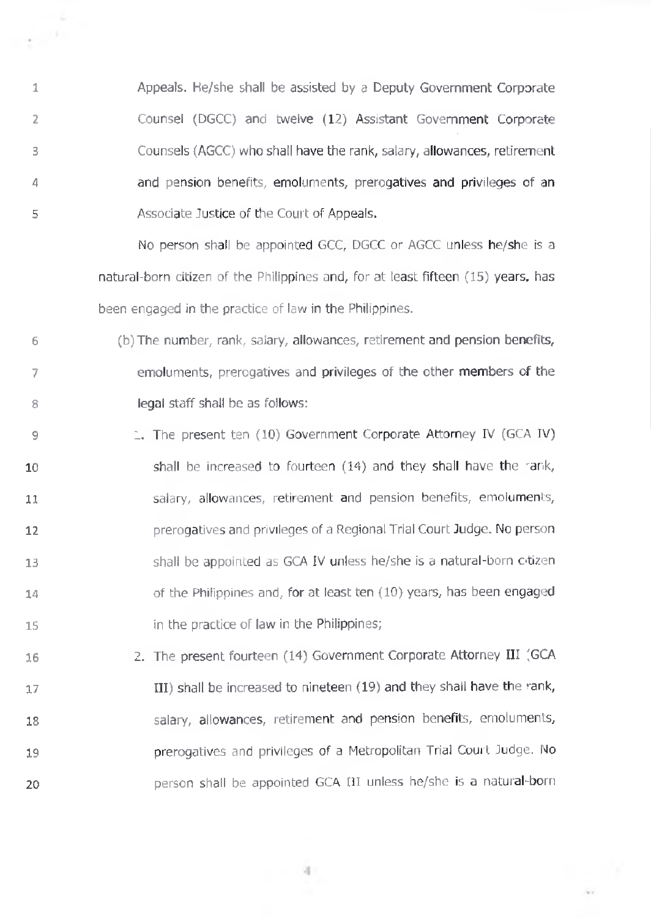Appeals. He/she shall be assisted by a Deputy Government Corporate Counsel (DGCC) and twelve (12) Assistant Government Corporate Counsels (AGCC) who shall have the rank, salary, allowances, retirement and pension benefits, emoluments, prerogatives and privileges of an Associate Justice of the Court of Appeals.

1

e i

2

3

4

5

No person shall be appointed GCC, DGCC or AGCC unless he/she is a natural-born citizen of the Philippines and, for at least fifteen (15) years, has been engaged in the practice of law in the Philippines.

- 6 7 8 (b) The number, rank, salary, allowances, retirement and pension benefits, emoluments, prerogatives and privileges of the other members of the legal staff shall be as follows:
- 9 10 11 12 13 14 15 1. The present ten (10) Government Corporate Attorney IV (GCA IV) shall be increased to fourteen (14) and they shall have the rank, salary, allowances, retirement and pension benefits, emoluments, prerogatives and privileges of a Regional Trial Court Judge. No person shall be appointed as GCA IV unless he/she is a natural-born otizen of the Philippines and, for at least ten (10) years, has been engaged in the practice of law in the Philippines;
- 16 17 18 19 20 2. The present fourteen (14) Government Corporate Attorney III (GCA III) shall be increased to nineteen  $(19)$  and they shall have the rank, salary, allowances, retirement and pension benefits, emoluments, prerogatives and privileges of a Metropolitan Trial Court Judge. No person shall be appointed GCA III unless he/she is <sup>a</sup> natural-born

 $-4$ 

 $\sim$  .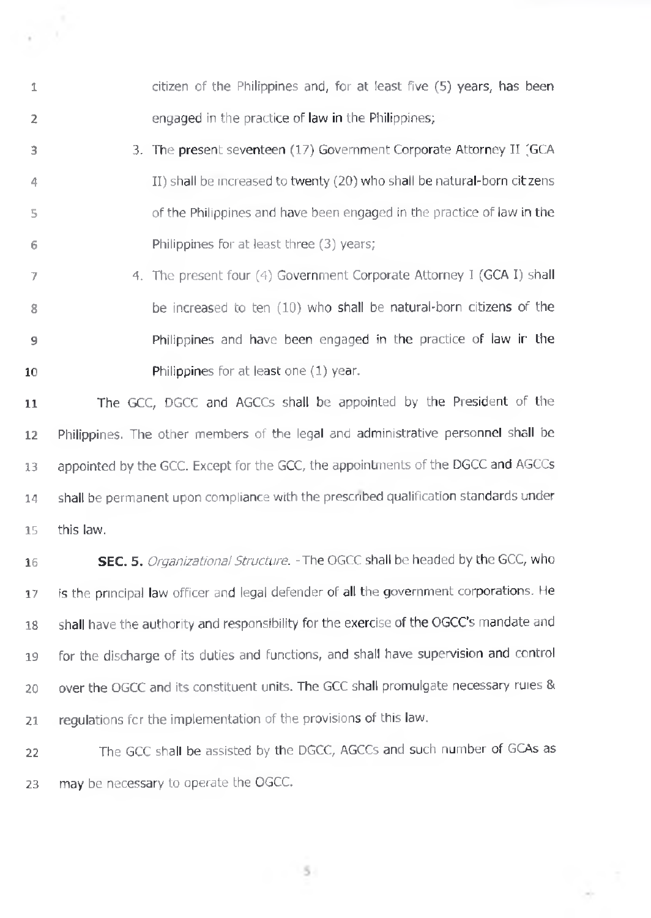citizen of the Philippines and, for at least five (5) years, has been engaged in the practice of law in the Philippines;

**3** 4 5 **6** 3. The present seventeen (17) Government Corporate Attorney II (GCA II) shall be increased to twenty (20) who shall be natural-born citzens of the Philippines and have been engaged in the practice of law in the Philippines for at least three (3) years;

**1**

 $\bar{a}$ 

**2**

**7 8 9 10** 4. The present four (4) Government Corporate Attorney I (GCA I) shall be increased to ten (10) who shall be natural-born citizens of the Philippines and have been engaged in the practice of law ir the Philippines for at least one (1) year.

**11** The GCC, DGCC and AGCCs shall be appointed by the President of the 12 Philippines. The other members of the legal and administrative personnel shall be 13 appointed by the GCC. Except for the GCC, the appointments of the DGCC and AGCCs 14 shall be permanent upon compliance with the prescribed qualification standards under 15 this law.

16 **SEC.** 5. *Organizational Structure. -* The OGCC shall be headed by the GCC, who 17 is the principal law officer and legal defender of all the government corporations. He 18 shall have the authority and responsibility for the exercise of the OGCC's mandate and 19 for the discharge of its duties and functions, and shall have supervision and control 20 over the OGCC and its constituent units. The GCC shall promulgate necessary ruies & 21 regulations for the implementation of the provisions of this law.

22 The GCC shall be assisted by the DGCC, AGCCs and such number of GCAs as 23 may be necessary to operate the OGCC.

 $5 -$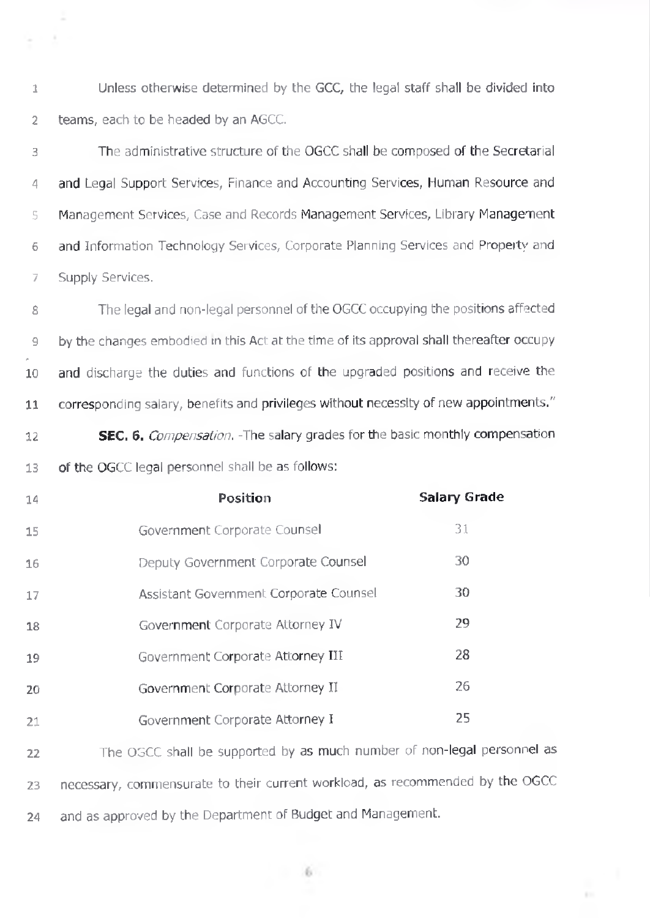**1 2** Unless otherwise determined by the GCC, the legal staff shall be divided into teams, each to be headed by an AGCC.

 $\lambda$ 

**3 4 5 6 7** The administrative structure of the OGCC shall be composed of the Secretarial and Legal Support Services, Finance and Accounting Services, Human Resource and Management Services, Case and Records Management Services, Library Management and Information Technology Services, Corporate Planning Services and Property and Supply Services.

**8 9 \* 10 11** The legal and non-legal personnel of the OGCC occupying the positions affected by the changes embodied in this Act at the time of its approval shall thereafter occupy and discharge the duties and functions of the upgraded positions and receive the corresponding salary, benefits and privileges without necessity of new appointments."

**12 13 SEC.** 6. *Compensation.* -The salary grades for the basic monthly compensation of the OGCC legal personnel shall be as follows:

| 14 | Position                               | <b>Salary Grade</b> |
|----|----------------------------------------|---------------------|
| 15 | Government Corporate Counsel           | 31                  |
| 16 | Deputy Government Corporate Counsel    | 30                  |
| 17 | Assistant Government Corporate Counsel | 30                  |
| 18 | Government Corporate Attorney IV       | 29                  |
| 19 | Government Corporate Attorney III      | 28                  |
| 20 | Government Corporate Attorney II       | 26                  |
| 21 | Government Corporate Attorney I        | 25                  |

**22 23** 24 The OGCC shall be supported by as much number of non-legal personnel as necessary, commensurate to their current workload, as recommended by the OGCC and as approved by the Department of Budget and Management.

 $-6$ 

**E**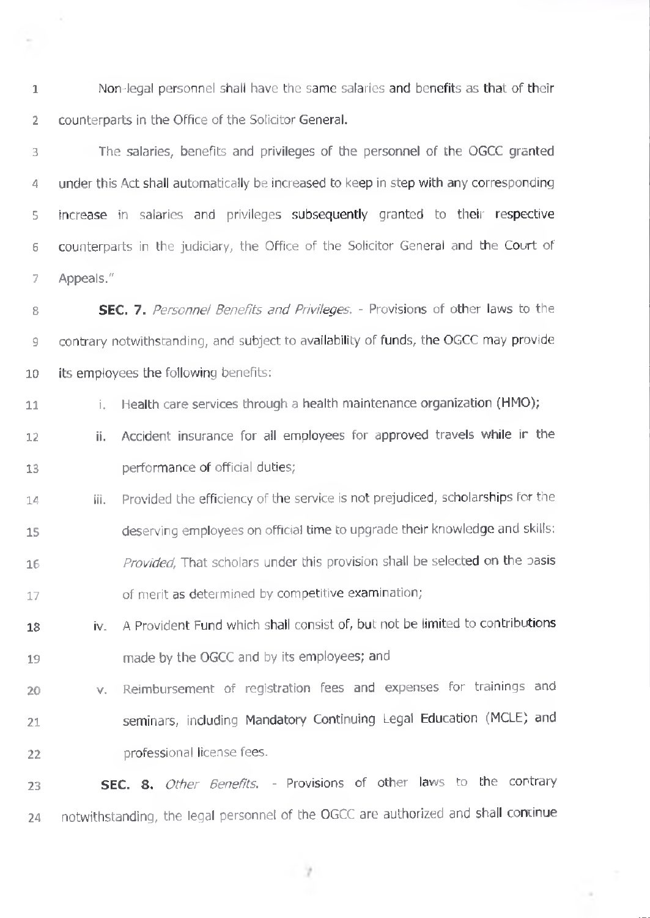**1 2** Non-legal personnel shall have the same salaries and benefits as that of their counterparts in the Office of the Solicitor General.

×

**3** 4 5 6 7 The salaries, benefits and privileges of the personnel of the OGCC granted under this Act shall automatically be increased to keep in step with any corresponding increase in salaries and privileges subsequently granted to their respective counterparts in the judiciary, the Office of the Solicitor General and the Court of Appeals."

**8 9 SEC.** 7. *Personnel Benefits and Privileges. -* Provisions of other laws to the contrary notwithstanding, and subject to availability of funds, the OGCC may provide 10 its employees the following benefits:

**11** i. Health care services through a health maintenance organization (HMO);

- **12 13** ii. Accident insurance for ail employees for approved travels while ir the performance of official duties;
- **14 15 16 17** iii. Provided the efficiency of the service is not prejudiced, scholarships for the deserving employees on official time to upgrade their knowledge and skills: *Provided,* That scholars under this provision shall be selected on the oasis of merit as determined by competitive examination;
- **18 19** iv. A Provident Fund which shall consist of, but not be limited to contributions made by the OGCC and by its employees; and
- **20 21 22** v. Reimbursement of registration fees and expenses for trainings and seminars, including Mandatory Continuing Legal Education (MCLE) and professional license fees.

**23 SEC.** 8. *Other Benefits. -* Provisions of other laws to the contrary 24 notwithstanding, the legal personnel of the OGCC are authorized and shall continue

- 7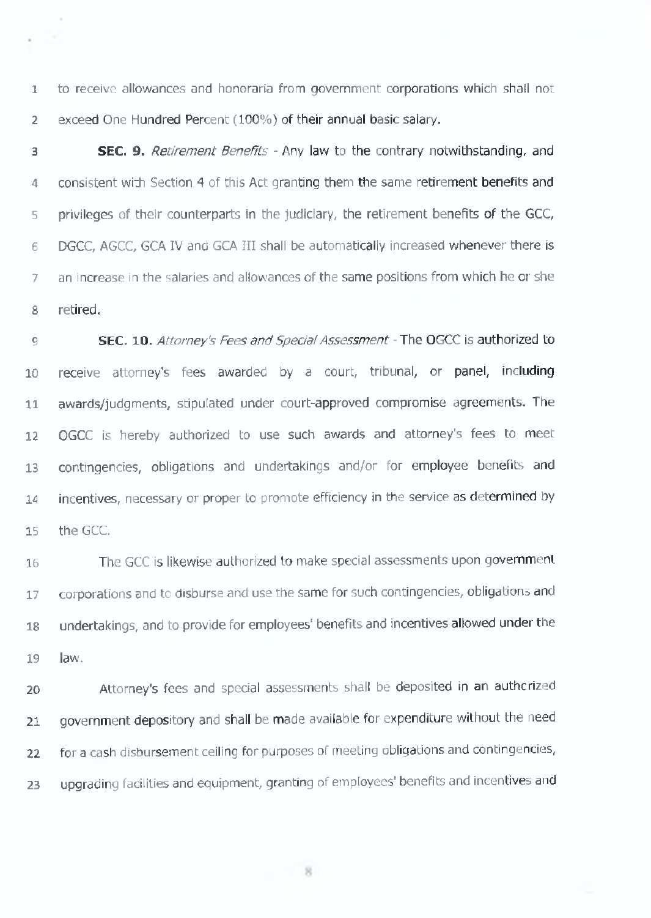to receive allowances and honoraria from government corporations which shail not exceed One Hundred Percent (100%) of their annual basic salary.

 SEC. 9. *Retirement Benefits -* Any law to the contrary notwithstanding, and consistent wi:h Section 4 of this Act granting them the same retirement benefits and privileges of their counterparts in the judiciary, the retirement benefits of the GCC, DGCC, AGCC, GCA IV and GCA III shall be automatically increased whenever there is an increase in the salaries and allowances of the same positions from which he or she retired.

**SEC. 10.** *Attorney's Fees and Special Assessment -* The OGCC is authorized to receive attorney's fees awarded by a court, tribunal, or panel, including awards/judgments, stipulated under court-approved compromise agreements. The OGCC is hereby authorized to use such awards and attorney's fees to meet contingencies, obligations and undertakings and/or for employee benefits and incentives, necessary or proper to promote efficiency in the service as determined by the GCC.

 The GCC is likewise authorized to make special assessments upon government 17 corporations and to disburse and use the same for such contingencies, obligations and undertakings, and to provide for employees' benefits and incentives allowed under the law.

 Attorney's fees and special assessments shall be deposited in an authorized government depository and shall be made available for expenditure without the need for a cash disbursement ceiling for purposes of meeting obligations and contingencies, 23 upgrading facilities and equipment, granting of employees' benefits and incentives and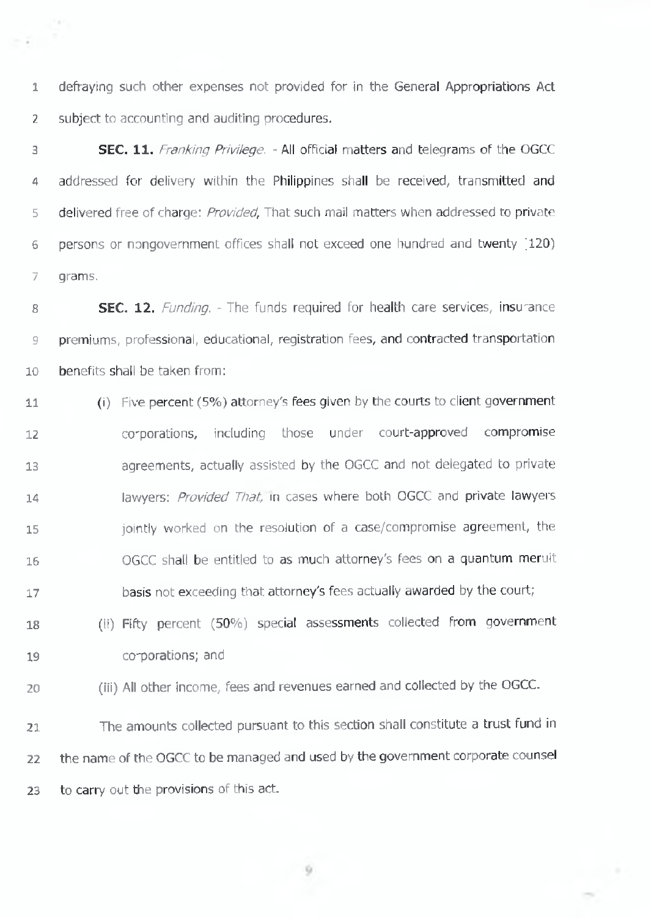defraying such other expenses not provided for in the General Appropriations Act 2 subject to accounting and auditing procedures.

 SEC. 11. *Franking Privilege. -* All official matters and telegrams of the OGCC addressed for delivery within the Philippines shall be received, transmitted and delivered free of charge: *Provided,* That such mail matters when addressed to private persons or nongovernment offices shall not exceed one hundred and twenty ;i20) grams.

**SEC. 12.** *Funding.* - The funds required for health care services, insurance premiums, professional, educational, registration fees, and contracted transportation benefits shall be taken from:

 (i) Five percent (5%) attorney's fees given by the courts to client government co'porations, including those under court-approved compromise agreements, actually assisted by the OGCC and not delegated to private lawyers: *Provided That,* in cases where both OGCC and private lawyers jointly worked on the resolution of a case/compromise agreement, the OGCC shall be entitled to as much attorney's fees on a quantum meruit basis not exceeding that attorney's fees actually awarded by the court;

- 18 (ii) Fifty percent (50%) special assessments collected from government co-porations; and
- (iii) All other income, fees and revenues earned and collected by the OGCC.

 The amounts collected pursuant to this section shall constitute a trust fund in the name of the OGCC to be managed and used by the government corporate counsel 23 to carry out the provisions of this act.

 $-9$